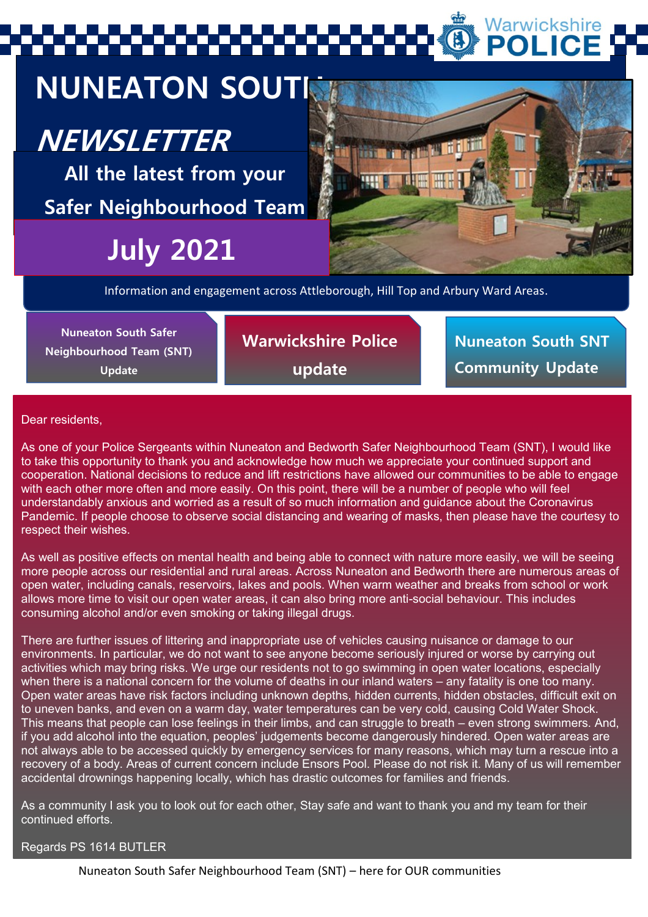# Warwickshire **POLICE**

# **NUNEATON SOUTH**

# **NEWSLETTER**

**All the latest from your Safer Neighbourhood Team**

# **July 2021**



Information and engagement across Attleborough, Hill Top and Arbury Ward Areas.

**Nuneaton South Safer Neighbourhood Team (SNT) Update** 

**Warwickshire Police update**

**Nuneaton South SNT Community Update**

### Dear residents,

As one of your Police Sergeants within Nuneaton and Bedworth Safer Neighbourhood Team (SNT), I would like to take this opportunity to thank you and acknowledge how much we appreciate your continued support and cooperation. National decisions to reduce and lift restrictions have allowed our communities to be able to engage with each other more often and more easily. On this point, there will be a number of people who will feel understandably anxious and worried as a result of so much information and guidance about the Coronavirus Pandemic. If people choose to observe social distancing and wearing of masks, then please have the courtesy to respect their wishes.

As well as positive effects on mental health and being able to connect with nature more easily, we will be seeing more people across our residential and rural areas. Across Nuneaton and Bedworth there are numerous areas of open water, including canals, reservoirs, lakes and pools. When warm weather and breaks from school or work allows more time to visit our open water areas, it can also bring more anti-social behaviour. This includes consuming alcohol and/or even smoking or taking illegal drugs.

There are further issues of littering and inappropriate use of vehicles causing nuisance or damage to our environments. In particular, we do not want to see anyone become seriously injured or worse by carrying out activities which may bring risks. We urge our residents not to go swimming in open water locations, especially when there is a national concern for the volume of deaths in our inland waters – any fatality is one too many. Open water areas have risk factors including unknown depths, hidden currents, hidden obstacles, difficult exit on to uneven banks, and even on a warm day, water temperatures can be very cold, causing Cold Water Shock. This means that people can lose feelings in their limbs, and can struggle to breath – even strong swimmers. And, if you add alcohol into the equation, peoples' judgements become dangerously hindered. Open water areas are not always able to be accessed quickly by emergency services for many reasons, which may turn a rescue into a recovery of a body. Areas of current concern include Ensors Pool. Please do not risk it. Many of us will remember accidental drownings happening locally, which has drastic outcomes for families and friends.

As a community I ask you to look out for each other, Stay safe and want to thank you and my team for their continued efforts.

### Regards PS 1614 BUTLER

Nuneaton South Safer Neighbourhood Team (SNT) – here for OUR communities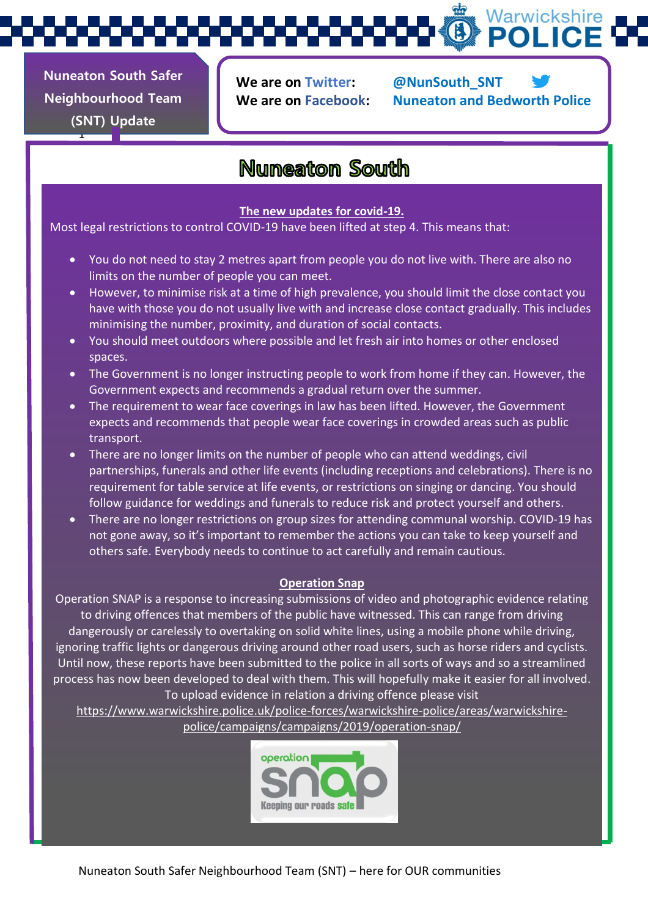Warwickshire **POLICE** 

**Nuneaton South Safer Neighbourhood Team (SNT) Update** 

1

**We are on Twitter: @NunSouth\_SNT**

**We are on Facebook: Nuneaton and Bedworth Police**

# **Nuneaton South**

### **The new updates for covid-19.**

Most legal restrictions to control COVID-19 have been lifted at step 4. This means that:

- You do not need to stay 2 metres apart from people you do not live with. There are also no limits on the number of people you can meet.
- However, to minimise risk at a time of high prevalence, you should limit the close contact you have with those you do not usually live with and increase close contact gradually. This includes minimising the number, proximity, and duration of social contacts.
- You should meet outdoors where possible and let fresh air into homes or other enclosed spaces.
- The Government is no longer instructing people to work from home if they can. However, the Government expects and recommends a gradual return over the summer.
- The requirement to wear face coverings in law has been lifted. However, the Government expects and recommends that people wear face coverings in crowded areas such as public transport.
- There are no longer limits on the number of people who can attend weddings, civil partnerships, funerals and other life events (including receptions and celebrations). There is no requirement for table service at life events, or restrictions on singing or dancing. You should follow guidance for weddings and funerals to reduce risk and protect yourself and others.
- There are no longer restrictions on group sizes for attending communal worship. COVID-19 has not gone away, so it's important to remember the actions you can take to keep yourself and others safe. Everybody needs to continue to act carefully and remain cautious.

### **Operation Snap**

Operation SNAP is a response to increasing submissions of video and photographic evidence relating to driving offences that members of the public have witnessed. This can range from driving dangerously or carelessly to overtaking on solid white lines, using a mobile phone while driving, ignoring traffic lights or dangerous driving around other road users, such as horse riders and cyclists. Until now, these reports have been submitted to the police in all sorts of ways and so a streamlined process has now been developed to deal with them. This will hopefully make it easier for all involved. To upload evidence in relation a driving offence please visit

[https://www.warwickshire.police.uk/police-forces/warwickshire-police/areas/warwickshire](https://www.warwickshire.police.uk/police-forces/warwickshire-police/areas/warwickshire-police/campaigns/campaigns/2019/operation-snap/)[police/campaigns/campaigns/2019/operation-snap/](https://www.warwickshire.police.uk/police-forces/warwickshire-police/areas/warwickshire-police/campaigns/campaigns/2019/operation-snap/)

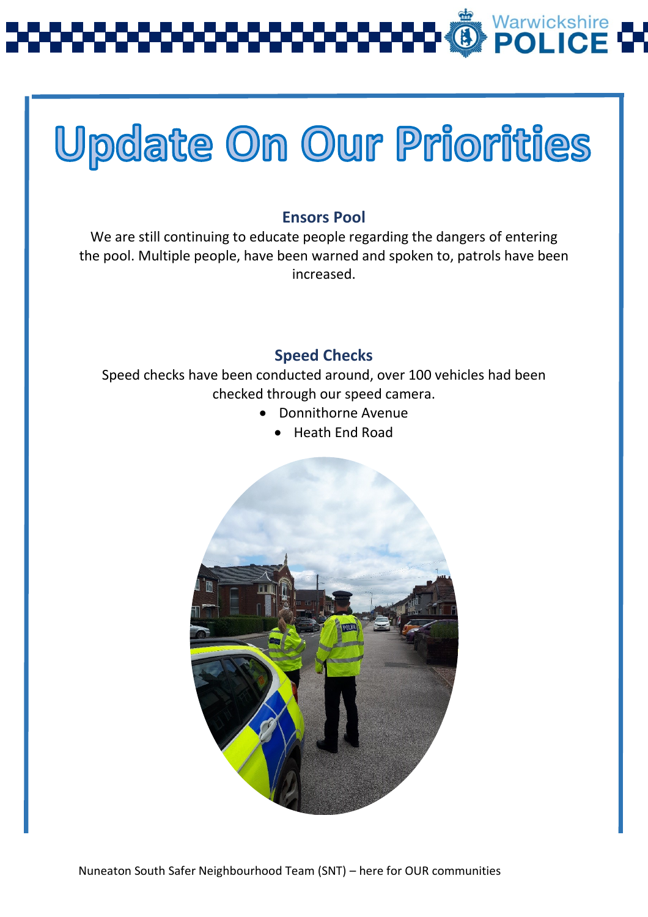

# **Update On Our Priorities**

## **Ensors Pool**

We are still continuing to educate people regarding the dangers of entering the pool. Multiple people, have been warned and spoken to, patrols have been increased.

## **Speed Checks**

Speed checks have been conducted around, over 100 vehicles had been checked through our speed camera.

- Donnithorne Avenue
	- Heath End Road

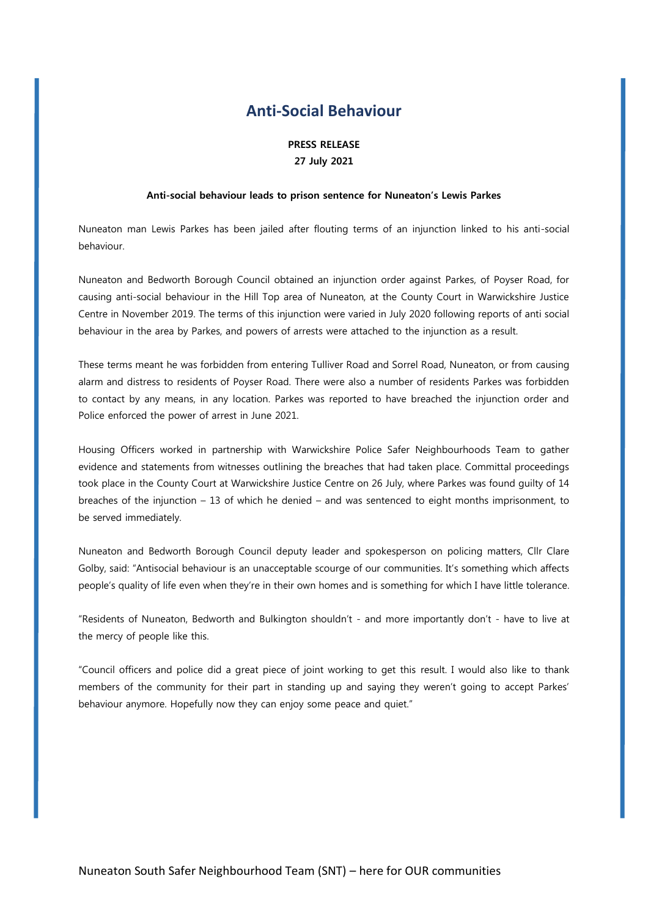### **Anti-Social Behaviour**

#### **PRESS RELEASE 27 July 2021**

#### **Anti-social behaviour leads to prison sentence for Nuneaton's Lewis Parkes**

Nuneaton man Lewis Parkes has been jailed after flouting terms of an injunction linked to his anti-social behaviour.

Nuneaton and Bedworth Borough Council obtained an injunction order against Parkes, of Poyser Road, for causing anti-social behaviour in the Hill Top area of Nuneaton, at the County Court in Warwickshire Justice Centre in November 2019. The terms of this injunction were varied in July 2020 following reports of anti social behaviour in the area by Parkes, and powers of arrests were attached to the injunction as a result.

These terms meant he was forbidden from entering Tulliver Road and Sorrel Road, Nuneaton, or from causing alarm and distress to residents of Poyser Road. There were also a number of residents Parkes was forbidden to contact by any means, in any location. Parkes was reported to have breached the injunction order and Police enforced the power of arrest in June 2021.

Housing Officers worked in partnership with Warwickshire Police Safer Neighbourhoods Team to gather evidence and statements from witnesses outlining the breaches that had taken place. Committal proceedings took place in the County Court at Warwickshire Justice Centre on 26 July, where Parkes was found guilty of 14 breaches of the injunction – 13 of which he denied – and was sentenced to eight months imprisonment, to be served immediately.

Nuneaton and Bedworth Borough Council deputy leader and spokesperson on policing matters, Cllr Clare Golby, said: "Antisocial behaviour is an unacceptable scourge of our communities. It's something which affects people's quality of life even when they're in their own homes and is something for which I have little tolerance.

"Residents of Nuneaton, Bedworth and Bulkington shouldn't - and more importantly don't - have to live at the mercy of people like this.

"Council officers and police did a great piece of joint working to get this result. I would also like to thank members of the community for their part in standing up and saying they weren't going to accept Parkes' behaviour anymore. Hopefully now they can enjoy some peace and quiet."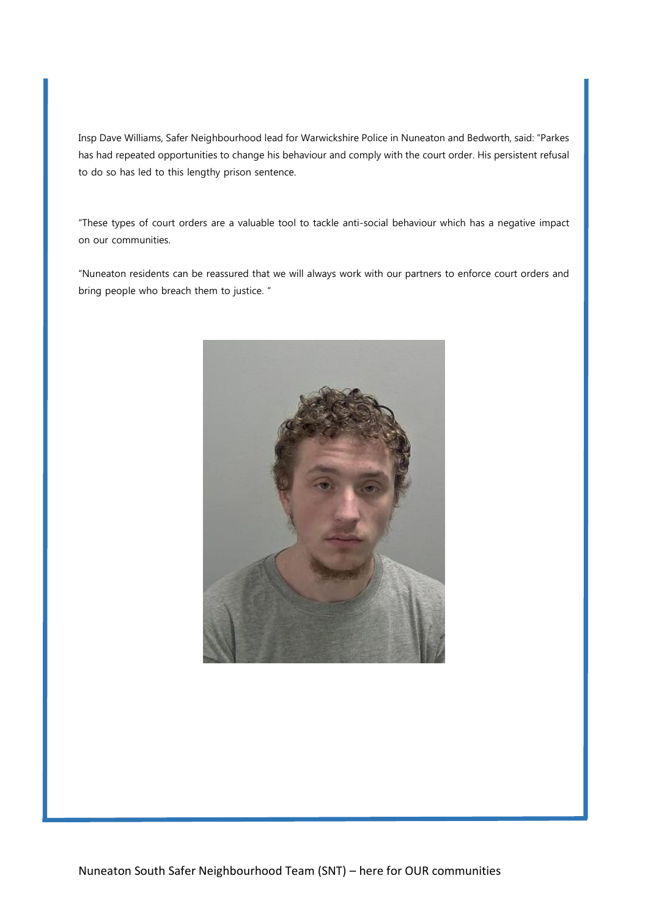Insp Dave Williams, Safer Neighbourhood lead for Warwickshire Police in Nuneaton and Bedworth, said: "Parkes has had repeated opportunities to change his behaviour and comply with the court order. His persistent refusal to do so has led to this lengthy prison sentence.

"These types of court orders are a valuable tool to tackle anti-social behaviour which has a negative impact on our communities.

"Nuneaton residents can be reassured that we will always work with our partners to enforce court orders and bring people who breach them to justice. "

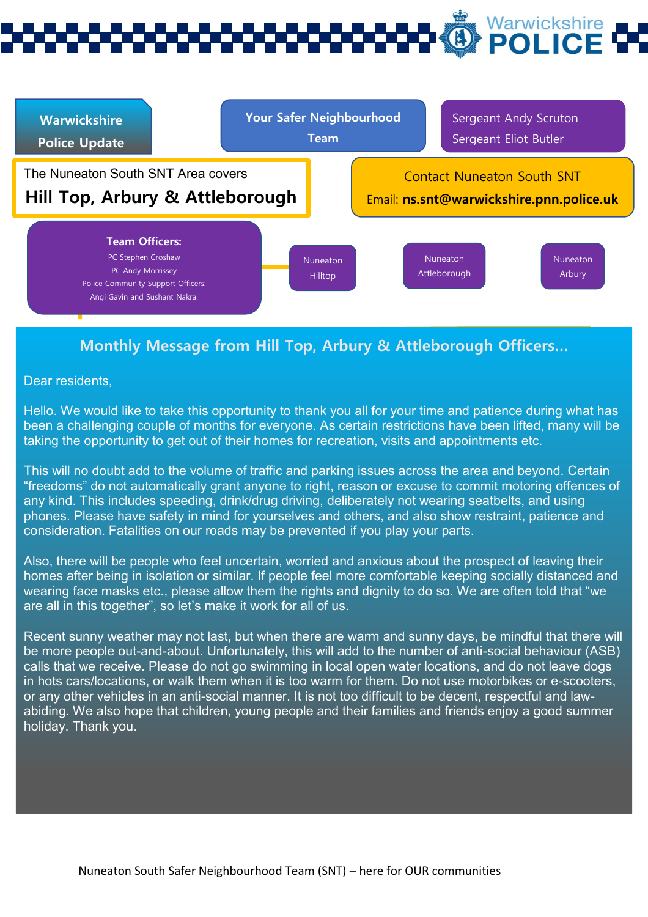# Warwickshire



## **Monthly Message from Hill Top, Arbury & Attleborough Officers…**

Dear residents,

Hello. We would like to take this opportunity to thank you all for your time and patience during what has been a challenging couple of months for everyone. As certain restrictions have been lifted, many will be taking the opportunity to get out of their homes for recreation, visits and appointments etc.

This will no doubt add to the volume of traffic and parking issues across the area and beyond. Certain "freedoms" do not automatically grant anyone to right, reason or excuse to commit motoring offences of any kind. This includes speeding, drink/drug driving, deliberately not wearing seatbelts, and using phones. Please have safety in mind for yourselves and others, and also show restraint, patience and consideration. Fatalities on our roads may be prevented if you play your parts.

Also, there will be people who feel uncertain, worried and anxious about the prospect of leaving their homes after being in isolation or similar. If people feel more comfortable keeping socially distanced and wearing face masks etc., please allow them the rights and dignity to do so. We are often told that "we are all in this together", so let's make it work for all of us.

Recent sunny weather may not last, but when there are warm and sunny days, be mindful that there will be more people out-and-about. Unfortunately, this will add to the number of anti-social behaviour (ASB) calls that we receive. Please do not go swimming in local open water locations, and do not leave dogs in hots cars/locations, or walk them when it is too warm for them. Do not use motorbikes or e-scooters, or any other vehicles in an anti-social manner. It is not too difficult to be decent, respectful and lawabiding. We also hope that children, young people and their families and friends enjoy a good summer holiday. Thank you.